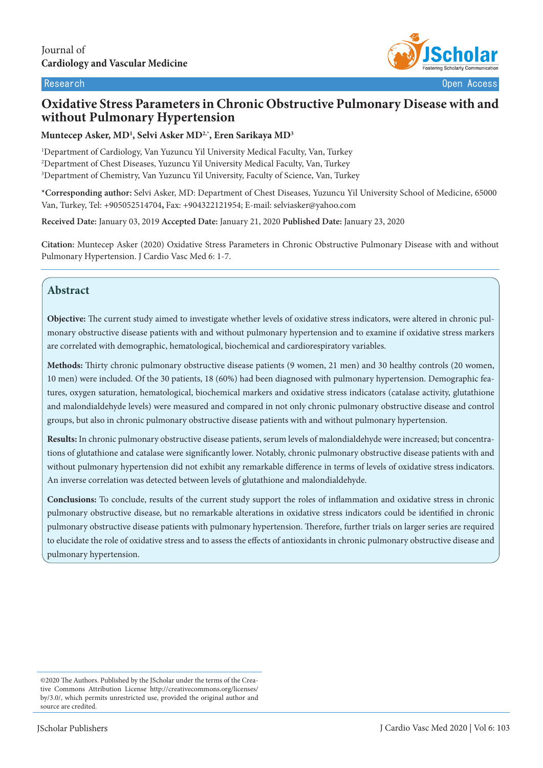

# **Oxidative Stress Parameters in Chronic Obstructive Pulmonary Disease with and without Pulmonary Hypertension**

#### **Muntecep Asker, MD1 , Selvi Asker MD2,\*, Eren Sarikaya MD3**

1 Department of Cardiology, Van Yuzuncu Yil University Medical Faculty, Van, Turkey 2 Department of Chest Diseases, Yuzuncu Yil University Medical Faculty, Van, Turkey 3 Department of Chemistry, Van Yuzuncu Yil University, Faculty of Science, Van, Turkey

**\*Corresponding author:** Selvi Asker, MD: Department of Chest Diseases, Yuzuncu Yil University School of Medicine, 65000 Van, Turkey, Tel: +905052514704**,** Fax: +904322121954; E-mail: selviasker@yahoo.com

**Received Date:** January 03, 2019 **Accepted Date:** January 21, 2020 **Published Date:** January 23, 2020

**Citation:** Muntecep Asker (2020) Oxidative Stress Parameters in Chronic Obstructive Pulmonary Disease with and without Pulmonary Hypertension. J Cardio Vasc Med 6: 1-7.

# **Abstract**

**Objective:** The current study aimed to investigate whether levels of oxidative stress indicators, were altered in chronic pulmonary obstructive disease patients with and without pulmonary hypertension and to examine if oxidative stress markers are correlated with demographic, hematological, biochemical and cardiorespiratory variables.

**Methods:** Thirty chronic pulmonary obstructive disease patients (9 women, 21 men) and 30 healthy controls (20 women, 10 men) were included. Of the 30 patients, 18 (60%) had been diagnosed with pulmonary hypertension. Demographic features, oxygen saturation, hematological, biochemical markers and oxidative stress indicators (catalase activity, glutathione and malondialdehyde levels) were measured and compared in not only chronic pulmonary obstructive disease and control groups, but also in chronic pulmonary obstructive disease patients with and without pulmonary hypertension.

**Results:** In chronic pulmonary obstructive disease patients, serum levels of malondialdehyde were increased; but concentrations of glutathione and catalase were significantly lower. Notably, chronic pulmonary obstructive disease patients with and without pulmonary hypertension did not exhibit any remarkable difference in terms of levels of oxidative stress indicators. An inverse correlation was detected between levels of glutathione and malondialdehyde.

**Conclusions:** To conclude, results of the current study support the roles of inflammation and oxidative stress in chronic pulmonary obstructive disease, but no remarkable alterations in oxidative stress indicators could be identified in chronic pulmonary obstructive disease patients with pulmonary hypertension. Therefore, further trials on larger series are required to elucidate the role of oxidative stress and to assess the effects of antioxidants in chronic pulmonary obstructive disease and pulmonary hypertension.

<sup>©2020</sup> The Authors. Published by the JScholar under the terms of the Creative Commons Attribution License http://creativecommons.org/licenses/ by/3.0/, which permits unrestricted use, provided the original author and source are credited.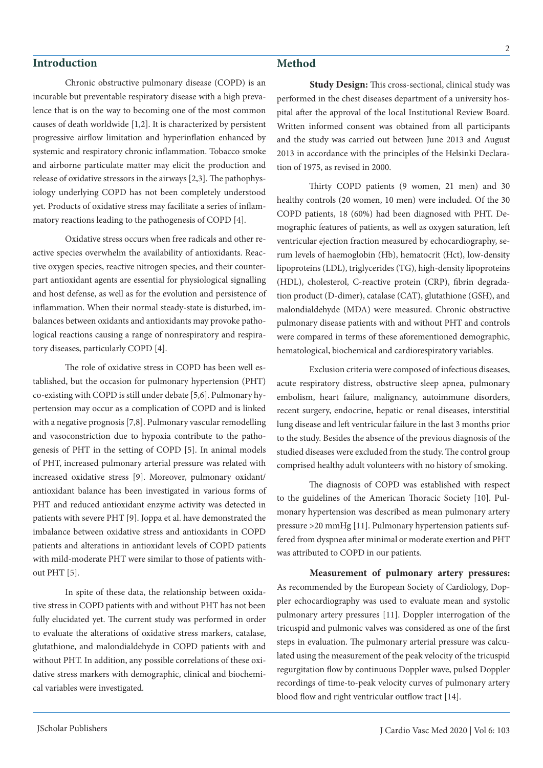### **Introduction**

Chronic obstructive pulmonary disease (COPD) is an incurable but preventable respiratory disease with a high prevalence that is on the way to becoming one of the most common causes of death worldwide [1,2]. It is characterized by persistent progressive airflow limitation and hyperinflation enhanced by systemic and respiratory chronic inflammation. Tobacco smoke and airborne particulate matter may elicit the production and release of oxidative stressors in the airways [2,3]. The pathophysiology underlying COPD has not been completely understood yet. Products of oxidative stress may facilitate a series of inflammatory reactions leading to the pathogenesis of COPD [4].

Oxidative stress occurs when free radicals and other reactive species overwhelm the availability of antioxidants. Reactive oxygen species, reactive nitrogen species, and their counterpart antioxidant agents are essential for physiological signalling and host defense, as well as for the evolution and persistence of inflammation. When their normal steady-state is disturbed, imbalances between oxidants and antioxidants may provoke pathological reactions causing a range of nonrespiratory and respiratory diseases, particularly COPD [4].

The role of oxidative stress in COPD has been well established, but the occasion for pulmonary hypertension (PHT) co-existing with COPD is still under debate [5,6]. Pulmonary hypertension may occur as a complication of COPD and is linked with a negative prognosis [7,8]. Pulmonary vascular remodelling and vasoconstriction due to hypoxia contribute to the pathogenesis of PHT in the setting of COPD [5]. In animal models of PHT, increased pulmonary arterial pressure was related with increased oxidative stress [9]. Moreover, pulmonary oxidant/ antioxidant balance has been investigated in various forms of PHT and reduced antioxidant enzyme activity was detected in patients with severe PHT [9]. Joppa et al. have demonstrated the imbalance between oxidative stress and antioxidants in COPD patients and alterations in antioxidant levels of COPD patients with mild-moderate PHT were similar to those of patients without PHT [5].

In spite of these data, the relationship between oxidative stress in COPD patients with and without PHT has not been fully elucidated yet. The current study was performed in order to evaluate the alterations of oxidative stress markers, catalase, glutathione, and malondialdehyde in COPD patients with and without PHT. In addition, any possible correlations of these oxidative stress markers with demographic, clinical and biochemical variables were investigated.

### **Method**

**Study Design:** This cross-sectional, clinical study was performed in the chest diseases department of a university hospital after the approval of the local Institutional Review Board. Written informed consent was obtained from all participants and the study was carried out between June 2013 and August 2013 in accordance with the principles of the Helsinki Declaration of 1975, as revised in 2000.

Thirty COPD patients (9 women, 21 men) and 30 healthy controls (20 women, 10 men) were included. Of the 30 COPD patients, 18 (60%) had been diagnosed with PHT. Demographic features of patients, as well as oxygen saturation, left ventricular ejection fraction measured by echocardiography, serum levels of haemoglobin (Hb), hematocrit (Hct), low-density lipoproteins (LDL), triglycerides (TG), high-density lipoproteins (HDL), cholesterol, C-reactive protein (CRP), fibrin degradation product (D-dimer), catalase (CAT), glutathione (GSH), and malondialdehyde (MDA) were measured. Chronic obstructive pulmonary disease patients with and without PHT and controls were compared in terms of these aforementioned demographic, hematological, biochemical and cardiorespiratory variables.

Exclusion criteria were composed of infectious diseases, acute respiratory distress, obstructive sleep apnea, pulmonary embolism, heart failure, malignancy, autoimmune disorders, recent surgery, endocrine, hepatic or renal diseases, interstitial lung disease and left ventricular failure in the last 3 months prior to the study. Besides the absence of the previous diagnosis of the studied diseases were excluded from the study. The control group comprised healthy adult volunteers with no history of smoking.

The diagnosis of COPD was established with respect to the guidelines of the American Thoracic Society [10]. Pulmonary hypertension was described as mean pulmonary artery pressure >20 mmHg [11]. Pulmonary hypertension patients suffered from dyspnea after minimal or moderate exertion and PHT was attributed to COPD in our patients.

**Measurement of pulmonary artery pressures:**  As recommended by the European Society of Cardiology, Doppler echocardiography was used to evaluate mean and systolic pulmonary artery pressures [11]. Doppler interrogation of the tricuspid and pulmonic valves was considered as one of the first steps in evaluation. The pulmonary arterial pressure was calculated using the measurement of the peak velocity of the tricuspid regurgitation flow by continuous Doppler wave, pulsed Doppler recordings of time-to-peak velocity curves of pulmonary artery blood flow and right ventricular outflow tract [14].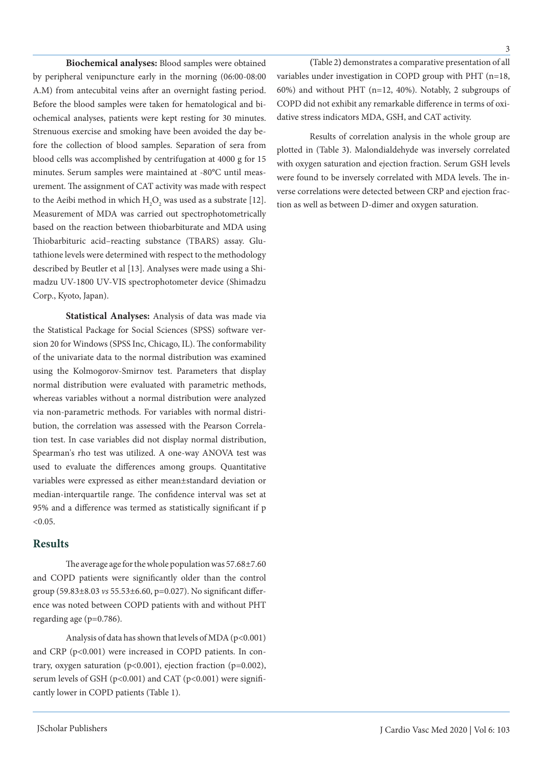**Biochemical analyses:** Blood samples were obtained by peripheral venipuncture early in the morning (06:00-08:00 A.M) from antecubital veins after an overnight fasting period. Before the blood samples were taken for hematological and biochemical analyses, patients were kept resting for 30 minutes. Strenuous exercise and smoking have been avoided the day before the collection of blood samples. Separation of sera from blood cells was accomplished by centrifugation at 4000 g for 15 minutes. Serum samples were maintained at -80°C until measurement. The assignment of CAT activity was made with respect to the Aeibi method in which  $H_2O_2$  was used as a substrate [12]. Measurement of MDA was carried out spectrophotometrically based on the reaction between thiobarbiturate and MDA using Thiobarbituric acid–reacting substance (TBARS) assay. Glutathione levels were determined with respect to the methodology described by Beutler et al [13]. Analyses were made using a Shimadzu UV-1800 UV-VIS spectrophotometer device (Shimadzu Corp., Kyoto, Japan).

**Statistical Analyses:** Analysis of data was made via the Statistical Package for Social Sciences (SPSS) software version 20 for Windows (SPSS Inc, Chicago, IL). The conformability of the univariate data to the normal distribution was examined using the Kolmogorov-Smirnov test. Parameters that display normal distribution were evaluated with parametric methods, whereas variables without a normal distribution were analyzed via non-parametric methods. For variables with normal distribution, the correlation was assessed with the Pearson Correlation test. In case variables did not display normal distribution, Spearman's rho test was utilized. A one-way ANOVA test was used to evaluate the differences among groups. Quantitative variables were expressed as either mean±standard deviation or median-interquartile range. The confidence interval was set at 95% and a difference was termed as statistically significant if p  $< 0.05$ .

# **Results**

The average age for the whole population was 57.68±7.60 and COPD patients were significantly older than the control group (59.83±8.03 *vs* 55.53±6.60, p=0.027). No significant difference was noted between COPD patients with and without PHT regarding age (p=0.786).

Analysis of data has shown that levels of MDA ( $p$ <0.001) and CRP (p<0.001) were increased in COPD patients. In contrary, oxygen saturation ( $p<0.001$ ), ejection fraction ( $p=0.002$ ), serum levels of GSH ( $p<0.001$ ) and CAT ( $p<0.001$ ) were significantly lower in COPD patients (Table 1).

**(**Table 2**)** demonstrates a comparative presentation of all variables under investigation in COPD group with PHT (n=18, 60%) and without PHT (n=12, 40%). Notably, 2 subgroups of COPD did not exhibit any remarkable difference in terms of oxidative stress indicators MDA, GSH, and CAT activity.

Results of correlation analysis in the whole group are plotted in (Table 3**)**. Malondialdehyde was inversely correlated with oxygen saturation and ejection fraction. Serum GSH levels were found to be inversely correlated with MDA levels. The inverse correlations were detected between CRP and ejection fraction as well as between D-dimer and oxygen saturation.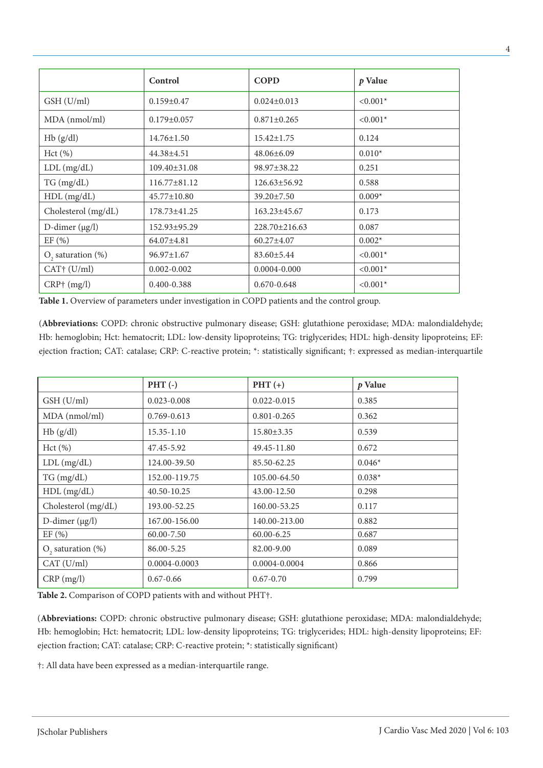|                         | Control            | <b>COPD</b>         | $p$ Value  |  |
|-------------------------|--------------------|---------------------|------------|--|
| GSH (U/ml)              | $0.159 \pm 0.47$   | $0.024 \pm 0.013$   | $< 0.001*$ |  |
| MDA (nmol/ml)           | $0.179 \pm 0.057$  | $0.871 \pm 0.265$   | $< 0.001*$ |  |
| Hb(g/dl)                | $14.76 \pm 1.50$   | $15.42 \pm 1.75$    | 0.124      |  |
| Hct(%)                  | 44.38±4.51         | $48.06 \pm 6.09$    | $0.010*$   |  |
| $LDL$ (mg/dL)           | $109.40 \pm 31.08$ | 98.97±38.22         | 0.251      |  |
| TG (mg/dL)              | $116.77 \pm 81.12$ | $126.63 \pm 56.92$  | 0.588      |  |
| $HDL$ (mg/dL)           | $45.77 \pm 10.80$  | $39.20 \pm 7.50$    | $0.009*$   |  |
| Cholesterol (mg/dL)     | $178.73 \pm 41.25$ | $163.23 \pm 45.67$  | 0.173      |  |
| D-dimer $(\mu g/l)$     | 152.93±95.29       | $228.70 \pm 216.63$ | 0.087      |  |
| EF(%)                   | 64.07±4.81         | $60.27 \pm 4.07$    | $0.002*$   |  |
| $O2$ saturation (%)     | $96.97 \pm 1.67$   | $83.60 \pm 5.44$    | $< 0.001*$ |  |
| CAT <sup>†</sup> (U/ml) | $0.002 - 0.002$    | $0.0004 - 0.000$    | $< 0.001*$ |  |
| $CRP†$ (mg/l)           | $0.400 - 0.388$    | $0.670 - 0.648$     | $< 0.001*$ |  |

Table 1. Overview of parameters under investigation in COPD patients and the control group.

(**Abbreviations:** COPD: chronic obstructive pulmonary disease; GSH: glutathione peroxidase; MDA: malondialdehyde; Hb: hemoglobin; Hct: hematocrit; LDL: low-density lipoproteins; TG: triglycerides; HDL: high-density lipoproteins; EF: ejection fraction; CAT: catalase; CRP: C-reactive protein; \*: statistically significant; †: expressed as median-interquartile

|                         | $PHT$ (-)       | $PHT (+)$        | $p$ Value |
|-------------------------|-----------------|------------------|-----------|
| GSH (U/ml)              | $0.023 - 0.008$ | $0.022 - 0.015$  | 0.385     |
| MDA (nmol/ml)           | $0.769 - 0.613$ | $0.801 - 0.265$  | 0.362     |
| Hb(g/dl)                | 15.35-1.10      | $15.80 \pm 3.35$ | 0.539     |
| Hct (%)                 | 47.45-5.92      | 49.45-11.80      | 0.672     |
| $LDL$ (mg/dL)           | 124.00-39.50    | 85.50-62.25      | $0.046*$  |
| TG (mg/dL)              | 152.00-119.75   | 105.00-64.50     | $0.038*$  |
| $HDL$ (mg/dL)           | 40.50-10.25     | 43.00-12.50      | 0.298     |
| Cholesterol (mg/dL)     | 193.00-52.25    | 160.00-53.25     | 0.117     |
| D-dimer $(\mu g/l)$     | 167.00-156.00   | 140.00-213.00    | 0.882     |
| EF(%)                   | 60.00-7.50      | 60.00-6.25       | 0.687     |
| $O_2$ saturation $(\%)$ | 86.00-5.25      | 82.00-9.00       | 0.089     |
| CAT (U/ml)              | 0.0004-0.0003   | 0.0004-0.0004    | 0.866     |
| $CRP$ (mg/l)            | $0.67 - 0.66$   | $0.67 - 0.70$    | 0.799     |

**Table 2.** Comparison of COPD patients with and without PHT†.

(**Abbreviations:** COPD: chronic obstructive pulmonary disease; GSH: glutathione peroxidase; MDA: malondialdehyde; Hb: hemoglobin; Hct: hematocrit; LDL: low-density lipoproteins; TG: triglycerides; HDL: high-density lipoproteins; EF: ejection fraction; CAT: catalase; CRP: C-reactive protein; \*: statistically significant)

†: All data have been expressed as a median-interquartile range.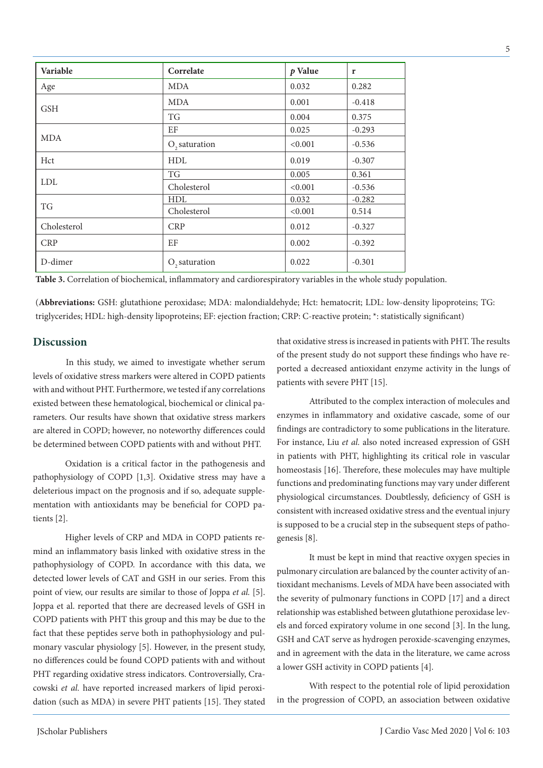|                                                                  | Cholesterol                                                                                                                                                                                                                                            | <b>CRP</b>                                             | 0.012                                                                                                                                                                                                     | $-0.327$ |  |  |
|------------------------------------------------------------------|--------------------------------------------------------------------------------------------------------------------------------------------------------------------------------------------------------------------------------------------------------|--------------------------------------------------------|-----------------------------------------------------------------------------------------------------------------------------------------------------------------------------------------------------------|----------|--|--|
|                                                                  | <b>CRP</b>                                                                                                                                                                                                                                             | EF                                                     | 0.002                                                                                                                                                                                                     | $-0.392$ |  |  |
|                                                                  | D-dimer                                                                                                                                                                                                                                                | $O$ , saturation                                       | 0.022                                                                                                                                                                                                     | $-0.301$ |  |  |
|                                                                  | Table 3. Correlation of biochemical, inflammatory and cardiorespiratory variables in the whole study population.                                                                                                                                       |                                                        |                                                                                                                                                                                                           |          |  |  |
|                                                                  | (Abbreviations: GSH: glutathione peroxidase; MDA: malondialdehyde; Hct: hematocrit; LDL: low-density lipoproteins; TG:<br>triglycerides; HDL: high-density lipoproteins; EF: ejection fraction; CRP: C-reactive protein; *: statistically significant) |                                                        |                                                                                                                                                                                                           |          |  |  |
| <b>Discussion</b>                                                |                                                                                                                                                                                                                                                        |                                                        | that oxidative stress is increased in patients with PHT. The results<br>of the present study do not support these findings who have re-<br>ported a decreased antioxidant enzyme activity in the lungs of |          |  |  |
| In this study, we aimed to investigate whether serum             |                                                                                                                                                                                                                                                        |                                                        |                                                                                                                                                                                                           |          |  |  |
|                                                                  | levels of oxidative stress markers were altered in COPD patients<br>with and without PHT. Furthermore, we tested if any correlations                                                                                                                   |                                                        | patients with severe PHT [15].                                                                                                                                                                            |          |  |  |
| existed between these hematological, biochemical or clinical pa- |                                                                                                                                                                                                                                                        | Attributed to the complex interaction of molecules and |                                                                                                                                                                                                           |          |  |  |
| rameters. Our results have shown that oxidative stress markers   |                                                                                                                                                                                                                                                        |                                                        | enzymes in inflammatory and oxidative cascade, some of our                                                                                                                                                |          |  |  |

**Variable Correlate** *p* **Value r** Age MDA 0.032 0.282

Hct 1.0019 -0.307

MDA 0.001 0.418 TG 0.004 0.375

EF  $\begin{array}{|c|c|c|c|c|c|c|c|} \hline 0.025 & \hspace{1cm} -0.293 \ \hline \end{array}$  $O<sub>s</sub>$  saturation  $\vert$  <0.001  $\vert$  -0.536

TG 0.005 0.361 Cholesterol  $\vert$  <0.001  $\vert$  -0.536

HDL 0.032 -0.282 Cholesterol  $\vert$  <0.001 0.514

Oxidation is a critical factor in the pathogenesis and pathophysiology of COPD [1,3]. Oxidative stress may have a deleterious impact on the prognosis and if so, adequate supplementation with antioxidants may be beneficial for COPD patients [2].

are altered in COPD; however, no noteworthy differences could be determined between COPD patients with and without PHT.

Higher levels of CRP and MDA in COPD patients remind an inflammatory basis linked with oxidative stress in the pathophysiology of COPD. In accordance with this data, we detected lower levels of CAT and GSH in our series. From this point of view, our results are similar to those of Joppa *et al.* [5]. Joppa et al. reported that there are decreased levels of GSH in COPD patients with PHT this group and this may be due to the fact that these peptides serve both in pathophysiology and pulmonary vascular physiology [5]. However, in the present study, no differences could be found COPD patients with and without PHT regarding oxidative stress indicators. Controversially, Cracowski *et al.* have reported increased markers of lipid peroxidation (such as MDA) in severe PHT patients [15]. They stated

nteraction of molecules and enzymes in inflammatory and oxidative cascade, some of our findings are contradictory to some publications in the literature. For instance, Liu *et al.* also noted increased expression of GSH in patients with PHT, highlighting its critical role in vascular homeostasis [16]. Therefore, these molecules may have multiple functions and predominating functions may vary under different physiological circumstances. Doubtlessly, deficiency of GSH is consistent with increased oxidative stress and the eventual injury is supposed to be a crucial step in the subsequent steps of pathogenesis [8].

It must be kept in mind that reactive oxygen species in pulmonary circulation are balanced by the counter activity of antioxidant mechanisms. Levels of MDA have been associated with the severity of pulmonary functions in COPD [17] and a direct relationship was established between glutathione peroxidase levels and forced expiratory volume in one second [3]. In the lung, GSH and CAT serve as hydrogen peroxide-scavenging enzymes, and in agreement with the data in the literature, we came across a lower GSH activity in COPD patients [4].

With respect to the potential role of lipid peroxidation in the progression of COPD, an association between oxidative

**GSH** 

MDA

LDL

TG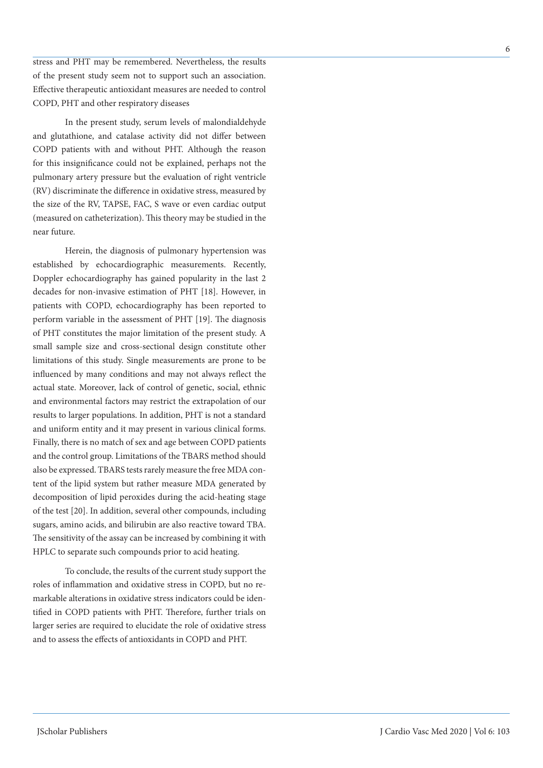stress and PHT may be remembered. Nevertheless, the results of the present study seem not to support such an association. Effective therapeutic antioxidant measures are needed to control COPD, PHT and other respiratory diseases

In the present study, serum levels of malondialdehyde and glutathione, and catalase activity did not differ between COPD patients with and without PHT. Although the reason for this insignificance could not be explained, perhaps not the pulmonary artery pressure but the evaluation of right ventricle (RV) discriminate the difference in oxidative stress, measured by the size of the RV, TAPSE, FAC, S wave or even cardiac output (measured on catheterization). This theory may be studied in the near future.

Herein, the diagnosis of pulmonary hypertension was established by echocardiographic measurements. Recently, Doppler echocardiography has gained popularity in the last 2 decades for non-invasive estimation of PHT [18]. However, in patients with COPD, echocardiography has been reported to perform variable in the assessment of PHT [19]. The diagnosis of PHT constitutes the major limitation of the present study. A small sample size and cross-sectional design constitute other limitations of this study. Single measurements are prone to be influenced by many conditions and may not always reflect the actual state. Moreover, lack of control of genetic, social, ethnic and environmental factors may restrict the extrapolation of our results to larger populations. In addition, PHT is not a standard and uniform entity and it may present in various clinical forms. Finally, there is no match of sex and age between COPD patients and the control group. Limitations of the TBARS method should also be expressed. TBARS tests rarely measure the free MDA content of the lipid system but rather measure MDA generated by decomposition of lipid peroxides during the acid-heating stage of the test [20]. In addition, several other compounds, including sugars, amino acids, and bilirubin are also reactive toward TBA. The sensitivity of the assay can be increased by combining it with HPLC to separate such compounds prior to acid heating.

To conclude, the results of the current study support the roles of inflammation and oxidative stress in COPD, but no remarkable alterations in oxidative stress indicators could be identified in COPD patients with PHT. Therefore, further trials on larger series are required to elucidate the role of oxidative stress and to assess the effects of antioxidants in COPD and PHT.